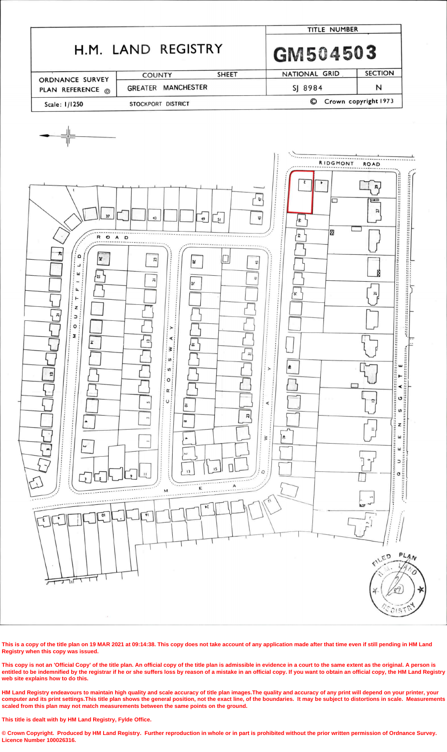

This is a copy of the title plan on 19 MAR 2021 at 09:14:38. This copy does not take account of any application made after that time even if still pending in HM Land **Registry when this copy was issued.**

This copy is not an 'Official Copy' of the title plan. An official copy of the title plan is admissible in evidence in a court to the same extent as the original. A person is entitled to be indemnified by the registrar if he or she suffers loss by reason of a mistake in an official copy. If you want to obtain an official copy, the HM Land Registry **web site explains how to do this.**

HM Land Registry endeavours to maintain high quality and scale accuracy of title plan images. The quality and accuracy of any print will depend on your printer, your computer and its print settings. This title plan shows the general position, not the exact line, of the boundaries. It may be subject to distortions in scale. Measurements **scaled from this plan may not match measurements between the same points on the ground.**

© Crown Copyright. Produced by HM Land Registry. Further reproduction in whole or in part is prohibited without the prior written permission of Ordnance Survey. **Licence Number 100026316.**

**This title is dealt with by HM Land Registry, Fylde Office.**